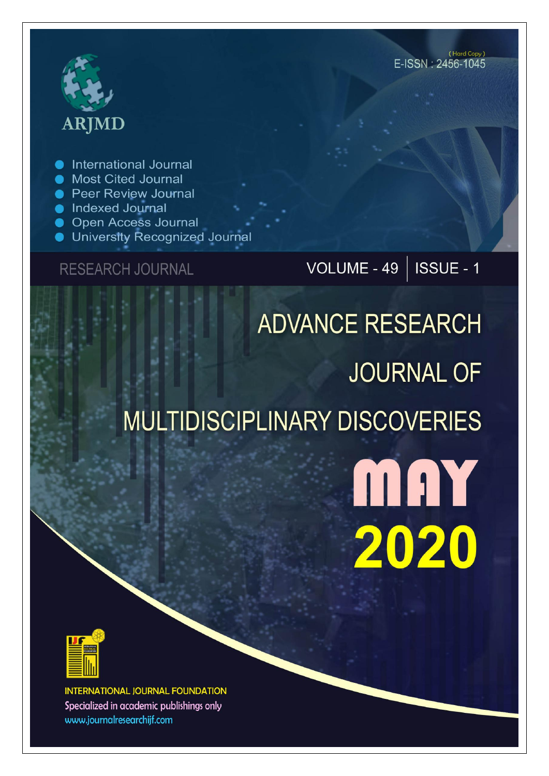# **ARJMD**

International Journal

- Most Cited Journal
- **Peer Review Journal**
- lndexed Journal
- Open Access Journal
- University Recognized Journal

**RESEARCH JOURNAL** 

## VOLUME - 49 | ISSUE - 1

# **ADVANCE RESEARCH JOURNAL OF** MULTIDISCIPLINARY DISCOVERIES

MAY 2020



**INTERNATIONAL JOURNAL FOUNDATION** Specialized in academic publishings only www.journalresearchijf.com

(Hard Copy) E-ISSN: 2456-1045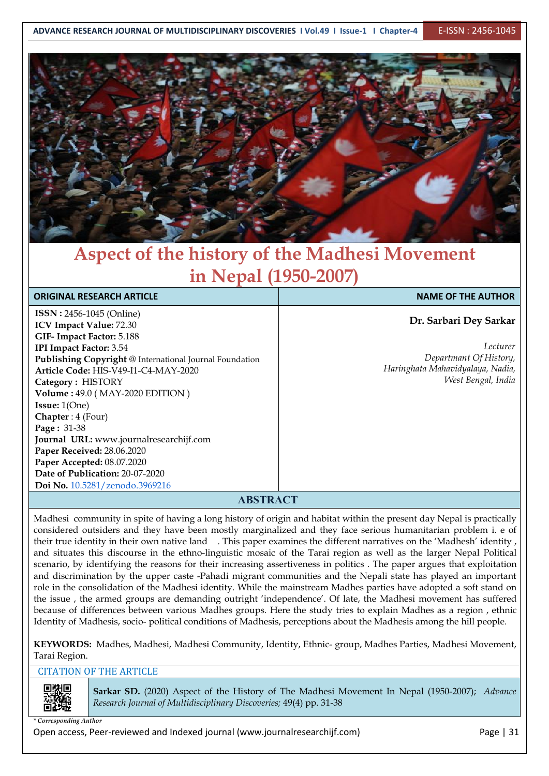

### **Aspect of the history of the Madhesi Movement in Nepal (1950-2007)**

| <b>ORIGINAL RESEARCH ARTICLE</b>                        | <b>NAME OF THE AUTHOR</b>        |
|---------------------------------------------------------|----------------------------------|
| <b>ISSN</b> : 2456-1045 (Online)                        |                                  |
| ICV Impact Value: 72.30                                 | Dr. Sarbari Dey Sarkar           |
| GIF-Impact Factor: 5.188                                |                                  |
| <b>IPI Impact Factor: 3.54</b>                          | Lecturer                         |
| Publishing Copyright @ International Journal Foundation | Departmant Of History,           |
| Article Code: HIS-V49-I1-C4-MAY-2020                    | Haringhata Mahavidyalaya, Nadia, |
| Category: HISTORY                                       | West Bengal, India               |
| Volume: 49.0 (MAY-2020 EDITION)                         |                                  |
| <b>Issue:</b> $1(One)$                                  |                                  |
| Chapter: 4 (Four)                                       |                                  |
| Page: 31-38                                             |                                  |
| Journal URL: www.journalresearchijf.com                 |                                  |
| Paper Received: 28.06.2020                              |                                  |
| Paper Accepted: 08.07.2020                              |                                  |
| Date of Publication: 20-07-2020                         |                                  |
| Doi No. 10.5281/zenodo.3969216                          |                                  |
| <b>A RSTD A CT</b>                                      |                                  |

#### **ABSTRACT**

Madhesi community in spite of having a long history of origin and habitat within the present day Nepal is practically considered outsiders and they have been mostly marginalized and they face serious humanitarian problem i. e of their true identity in their own native land . This paper examines the different narratives on the 'Madhesh' identity , and situates this discourse in the ethno-linguistic mosaic of the Tarai region as well as the larger Nepal Political scenario, by identifying the reasons for their increasing assertiveness in politics . The paper argues that exploitation and discrimination by the upper caste -Pahadi migrant communities and the Nepali state has played an important role in the consolidation of the Madhesi identity. While the mainstream Madhes parties have adopted a soft stand on the issue , the armed groups are demanding outright 'independence'. Of late, the Madhesi movement has suffered because of differences between various Madhes groups. Here the study tries to explain Madhes as a region , ethnic Identity of Madhesis, socio- political conditions of Madhesis, perceptions about the Madhesis among the hill people.

**KEYWORDS:** Madhes, Madhesi, Madhesi Community, Identity, Ethnic- group, Madhes Parties, Madhesi Movement, Tarai Region.

#### CITATION OF THE ARTICLE



**Sarkar SD.** (2020) Aspect of the History of The Madhesi Movement In Nepal (1950-2007); *Advance Research Journal ofMultidisciplinary Discoveries;* 49(4) pp. 31-38

*\* Corresponding Author*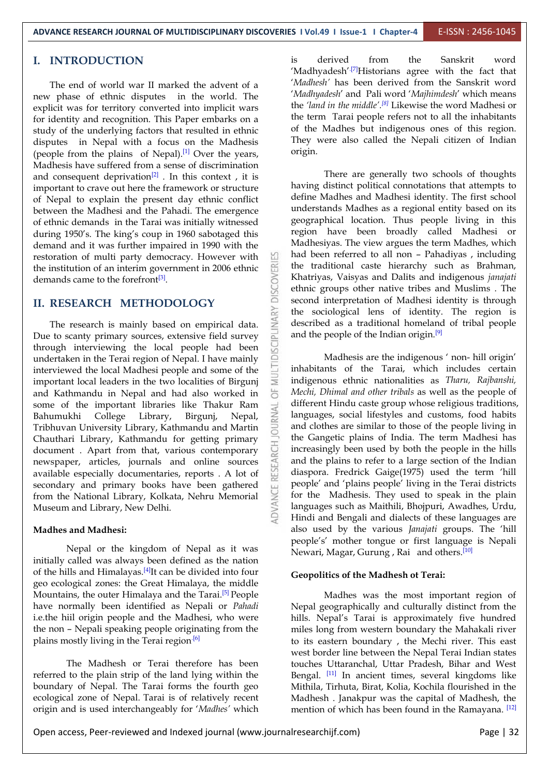#### **I. INTRODUCTION**

The end of world war II marked the advent of a new phase of ethnic disputes in the world. The explicit was for territory converted into implicit wars for identity and recognition. This Paper embarks on a study of the underlying factors that resulted in ethnic disputes in Nepal with a focus on the Madhesis (people from the plains of Nepal).<sup>[1]</sup> Over the years,  $\overline{\text{origin}}$ Madhesis have suffered from a sense of discrimination and consequent deprivation<sup>[2]</sup> . In this context , it is  $\qquad \qquad$  II important to crave out here the framework or structure of Nepal to explain the present day ethnic conflict between the Madhesi and the Pahadi. The emergence of ethnic demands in the Tarai was initially witnessed during 1950's. The king's coup in 1960 sabotaged this demand and it was further impaired in 1990 with the restoration of multi party democracy. However with<br>the institution of an interim government in 2006 ethnic<br>demands came to the forefront<sup>[3]</sup>. the institution of an interim government in 2006 ethnic demands came to the forefront<sup>[3]</sup>.

**II. RESEARCH METHODOLOGY**<br>The research is mainly based on empirical data.<br>Due to scanty primary sources, extensive field survey The research is mainly based on empirical data. Due to scanty primary sources, extensive field survey<br>through interviewing the local people had been<br>undertaken in the Terai region of Nepal I have mainly through interviewing the local people had been undertaken in the Terai region of Nepal. I have mainly interviewed the local Madhesi people and some of the important local leaders in the two localities of Birgunj<br>and Kathmandu in Nepal and had also worked in and Kathmandu in Nepal and had also worked in some of the important libraries like Thakur Ram<br>Bahumukhi College Library, Birgunj, Nepal, Z<br>Tribhuvan University Library, Kathmandu and Martin Bahumukhi College Library, Birgunj, Nepal, Tribhuvan University Library, Kathmandu and Martin Chauthari Library, Kathmandu for getting primary<br>document . Apart from that, various contemporary<br>newspaper, articles, journals and online sources<br>available especially documentaries, reports . A lot of document . Apart from that, various contemporary newspaper, articles, journals and online sources available especially documentaries, reports . A lot of secondary and primary books have been gathered from the National Library, Kolkata, Nehru Memorial Museum and Library, New Delhi.

#### **Madhes and Madhesi:**

Nepal or the kingdom of Nepal as it was initially called was always been defined as the nation of the hills and Himalayas.<sup>[4]</sup>It can be divided into four  $\epsilon$ geo ecological zones: the Great Himalaya, the middle Mountains, the outer Himalaya and the Tarai.<sup>[5]</sup> People Mad have normally been identified as Nepali or *Pahadi* i.e.the hiil origin people and the Madhesi, who were the non – Nepali speaking people originating from the plains mostly living in the Terai region<sup>[6]</sup> 111 and 12 and 13 and 13 and 13 and 13 and 13 and 13 and 13 and 13 and 13 and 13 and 13 and 13 and 13 and 13 and 13 and 13 and 13 and 13 and 13 and 13 and 13 and 13 and 13 and

The Madhesh or Terai therefore has been referred to the plain strip of the land lying within the boundary of Nepal. The Tarai forms the fourth geo ecological zone of Nepal. Tarai is of relatively recent origin and is used interchangeably for '*Madhes'* which is derived from the Sanskrit word 'Madhyadesh'<sup>.[7]</sup>Historians agree with the fact that | '*Madhesh'* has been derived from the Sanskrit word '*Madhyadesh*' and Pali word '*Majhimdesh*' which means the *'land in the middle'. [8]* Likewise the word Madhesi or the term Tarai people refers not to all the inhabitants of the Madhes but indigenous ones of this region. They were also called the Nepali citizen of Indian origin.

There are generally two schools of thoughts having distinct political connotations that attempts to define Madhes and Madhesi identity. The first school understands Madhes as a regional entity based on its geographical location. Thus people living in this region have been broadly called Madhesi or Madhesiyas. The view argues the term Madhes, which had been referred to all non – Pahadiyas , including the traditional caste hierarchy such as Brahman, Khatriyas, Vaisyas and Dalits and indigenous *janajati* ethnic groups other native tribes and Muslims . The second interpretation of Madhesi identity is through the sociological lens of identity. The region is described as a traditional homeland of tribal people and the people of the Indian origin.<sup>[9]</sup>

Madhesis are the indigenous ' non- hill origin' inhabitants of the Tarai, which includes certain indigenous ethnic nationalities as *Tharu, Rajbanshi, Mechi, Dhimal and other tribals* as well as the people of different Hindu caste group whose religious traditions, languages, social lifestyles and customs, food habits and clothes are similar to those of the people living in the Gangetic plains of India. The term Madhesi has increasingly been used by both the people in the hills and the plains to refer to alarge section of the Indian diaspora. Fredrick Gaige(1975) used the term 'hill people' and 'plains people' living in the Terai districts for the Madhesis. They used to speak in the plain languages such as Maithili, Bhojpuri, Awadhes, Urdu, Hindi and Bengali and dialects of these languages are also used by the various *Janajati* groups. The 'hill people's' mother tongue or first language is Nepali Newari, Magar, Gurung , Rai and others.<sup>[10]</sup> and  $\vert$ 

#### **Geopolitics of the Madhesh ot Terai:**

Madhes was the most important region of Nepal geographically and culturally distinct from the hills. Nepal's Tarai is approximately five hundred miles long from western boundary the Mahakali river to its eastern boundary , the Mechi river. This east west border line between the Nepal Terai Indian states touches Uttaranchal, Uttar Pradesh, Bihar and West Bengal. <sup>[11]</sup> In ancient times, several kingdoms like Mithila, Tirhuta, Birat, Kolia, Kochila flourished in the Madhesh . Janakpur was the capital of Madhesh, the mention of which has been found in the Ramayana. [12]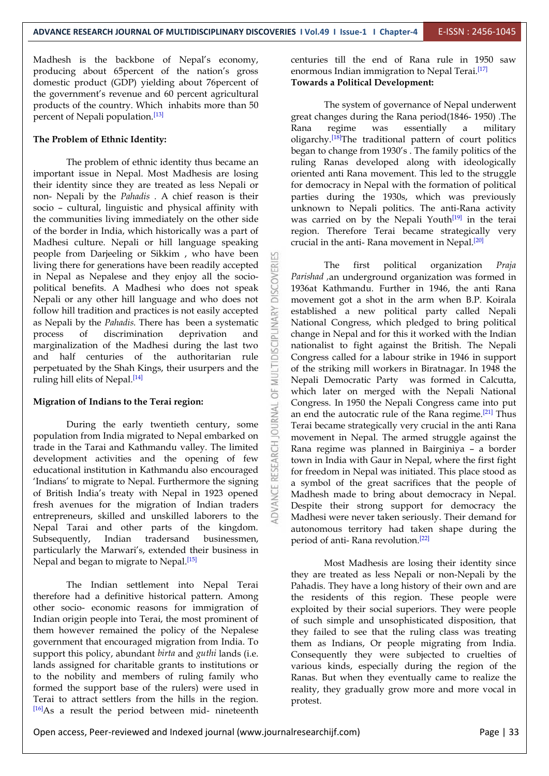5

Madhesh is the backbone of Nepal's economy, producing about 65percent of the nation's gross domestic product (GDP) yielding about 76percent of the government's revenue and 60 percent agricultural products of the country. Which inhabits more than 50 percent of Nepali population. [13]

#### **The Problem of Ethnic Identity:**

The problem of ethnic identity thus became an important issue in Nepal. Most Madhesis are losing their identity since they are treated as less Nepali or non- Nepali by the *Pahadis* . A chief reason is their socio – cultural, linguistic and physical affinity with the communities living immediately on the other side of the border in India, which historically was a part of Madhesi culture. Nepali or hill language speaking people from Darjeeling or Sikkim , who have been living there for generations have been readily accepted<br>in Nepal as Nepalese and they enjoy all the socio-<br>political benefits. A Madhesi who does not speak and 1936 at Kathmandu. in Nepal as Nepalese and they enjoy all the socio political benefits. A Madhesi who does not speak Nepali or any other hill language and who does not follow hill tradition and practices is not easily accepted as Nepali by the *Pahadis*. There has been a systematic process of discrimination deprivation and marginalizati follow hill tradition and practices is not easily accepted as Nepali by the *Pahadis.* There has been a systematic process of discrimination deprivation and  $\frac{1}{n}$  change in Nepal and for this it worked with the Indian marginalization of the Madhesi during the last two and half centuries of the authoritarian rule perpetuated by the Shah Kings, their usurpers and the ruling hill elits of Nepal.<sup>[14]</sup>

#### **Migration of Indians to the Terai region:**

on of Indians to the Terai region:<br>During the early twentieth century, some<br>ion from India migrated to Nepal embarked on population from India migrated to Nepal embarked on<br>trade in the Tarai and Kathmandu valley. The limited<br>development activities and the opening of few<br>educational institution in Kathmandu also encouraged<br>the circuity trade in the Tarai and Kathmandu valley. The limited development activities and the opening of few educational institution in Kathmandu also encouraged 'Indians' to migrate to Nepal. Furthermore the signing of British India's treaty with Nepal in 1923 opened fresh avenues for the migration of Indian traders entrepreneurs, skilled and unskilled laborers to the Nepal Tarai and other parts of the kingdom. Subsequently, Indian tradersand businessmen, particularly the Marwari's, extended their business in Nepal and began to migrate to Nepal. [15]

The Indian settlement into Nepal Terai therefore had a definitive historical pattern. Among other socio- economic reasons for immigration of Indian origin people into Terai, the most prominent of them however remained the policy of the Nepalese government that encouraged migration from India. To support this policy, abundant *birta* and *guthi* lands (i.e. lands assigned for charitable grants to institutions or to the nobility and members of ruling family who formed the support base of the rulers) were used in Terai to attract settlers from the hills in the region. [16]As a result the period between mid- nineteenth

centuries till the end of Rana rule in 1950 saw enormous Indian immigration to Nepal Terai.<sup>[17]</sup> **Towards a Political Development:**

The system of governance of Nepal underwent great changes during the Rana period(1846- 1950) .The Rana regime was essentially a military oligarchy.<sup>[18]</sup>The traditional pattern of court politics began to change from 1930's . The family politics of the ruling Ranas developed along with ideologically oriented anti Rana movement. This led to the struggle for democracy in Nepal with the formation of political parties during the 1930s, which was previously unknown to Nepali politics. The anti-Rana activity was carried on by the Nepali Youth $[19]$  in the terai region. Therefore Terai became strategically very crucial in the anti- Rana movement in Nepal. [20]

political organization *Praja Parishad ,*an underground organization was formed in 1936at Kathmandu. Further in 1946, the anti Rana movement got a shot in the arm when B.P. Koirala established a new political party called Nepali National Congress, which pledged to bring political nationalist to fight against the British. The Nepali Congress called for a labour strike in 1946 in support of the striking mill workers in Biratnagar. In 1948 the Nepali Democratic Party was formed in Calcutta, which later on merged with the Nepali National Congress. In 1950 the Nepali Congress came into put an end the autocratic rule of the Rana regime. $[21]$  Thus Terai became strategically very crucial in the anti Rana movement in Nepal. The armed struggle against the Rana regime was planned in Bairginiya – a border town in India with Gaur in Nepal, where the first fight for freedom in Nepal was initiated. This place stood as a symbol of the great sacrifices that the people of Madhesh made to bring about democracy in Nepal. Despite their strong support for democracy the Madhesi were never taken seriously. Their demand for autonomous territory had taken shape during the period of anti- Rana revolution. [22]

Most Madhesis are losing their identity since they are treated as less Nepali or non-Nepali by the Pahadis. They have a long history of their own and are the residents of this region. These people were exploited by their social superiors. They were people of such simple and unsophisticated disposition, that they failed to see that the ruling class was treating them as Indians, Or people migrating from India. Consequently they were subjected to cruelties of various kinds, especially during the region of the Ranas. But when they eventually came to realize the reality, they gradually grow more and more vocal in protest.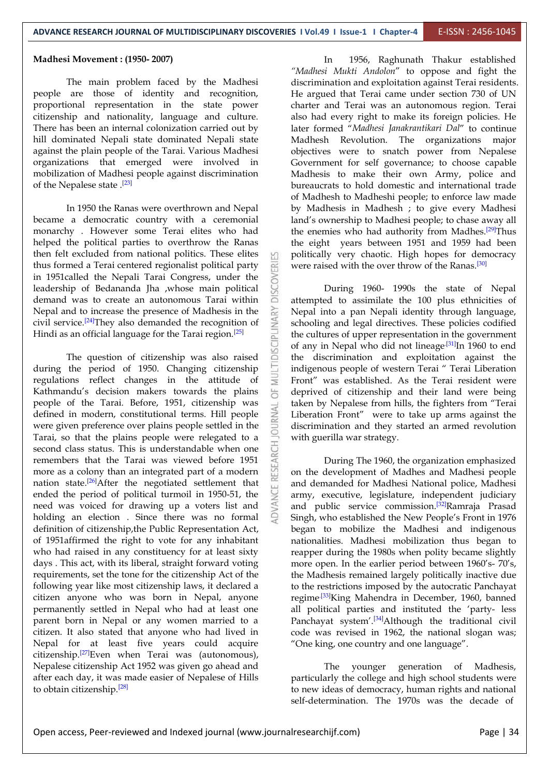#### **Madhesi Movement : (1950- 2007)**

The main problem faced by the Madhesi people are those of identity and recognition, proportional representation in the state power citizenship and nationality, language and culture. There has been an internal colonization carried out by hill dominated Nepali state dominated Nepali state against the plain people of the Tarai. Various Madhesi organizations that emerged were involved in mobilization of Madhesi people against discrimination of the Nepalese state . [23]

In 1950 the Ranas were overthrown and Nepal became a democratic country with a ceremonial monarchy . However some Terai elites who had helped the political parties to overthrow the Ranas then felt excluded from national politics. These elites thus formed a Terai centered regionalist political party in 1951called the Nepali Tarai Congress, under the leadership of Bedananda Jha ,whose main political demand was to create an autonomous Tarai within leadership of Bedananda Jha ,whose main political demand was to create an autonomous Tarai within Nepal and to increase the presence of Madhesis in the civil service.<sup>[24]</sup>They also demanded the recognition of  $\geq$  schooling and Hindi as an official language for the Tarai region.<sup>[25]</sup>

The question of citizenship was also raised during the period of 1950. Changing citizenship regulations reflect changes in the attitude of Kathmandu's decision makers towards the plains  $\overline{\bigcirc}$ people of the Tarai. Before, 1951, citizenship was<br>defined in modern, constitutional terms. Hill people<br>were given preference over plains people settled in the defined in modern, constitutional terms. Hill people were given preference over plains people settled in the Tarai, so that the plains people were relegated to a second class status. This is understandable when one remembers that the Tarai was viewed before 1951 more as a colony than an integrated part of a modern nation state.<sup>[26]</sup>After the negotiated settlement that  $\Box$  and d ended the period of political turmoil in 1950-51, the need was voiced for drawing up a voters list and holding an election . Since there was no formal definition of citizenship,the Public Representation Act, of 1951affirmed the right to vote for any inhabitant who had raised in any constituency for at least sixty days . This act, with its liberal, straight forward voting requirements, set the tone for the citizenship Act of the following year like most citizenship laws, it declared a citizen anyone who was born in Nepal, anyone permanently settled in Nepal who had at least one parent born in Nepal or any women married to a citizen. It also stated that anyone who had lived in Nepal for at least five years could acquire citizenship. [27]Even when Terai was (autonomous), Nepalese citizenship Act 1952 was given go ahead and after each day, it was made easier of Nepalese of Hills to obtain citizenship.<sup>[28]</sup>

In 1956, Raghunath Thakur established *"Madhesi Mukti Andolon*" to oppose and fight the discrimination and exploitation against Terai residents. He argued that Terai came under section 730 of UN charter and Terai was an autonomous region. Terai also had every right to make its foreign policies. He later formed "*Madhesi Janakrantikari Dal*" to continue Madhesh Revolution. The organizations major objectives were to snatch power from Nepalese Government for self governance; to choose capable Madhesis to make their own Army, police and bureaucrats to hold domestic and international trade of Madhesh to Madheshi people; to enforce law made by Madhesis in Madhesh ; to give every Madhesi land's ownership to Madhesi people; to chase away all the enemies who had authority from Madhes.<sup>[29]</sup>Thus the eight years between 1951 and 1959 had been politically very chaotic. High hopes for democracy were raised with the over throw of the Ranas.<sup>[30]</sup>

During 1960- 1990s the state of Nepal attempted to assimilate the 100 plus ethnicities of Nepal into a pan Nepali identity through language, schooling and legal directives. These policies codified the cultures of upper representation in the government of any in Nepal who did not lineage<sup>[31]</sup>In 1960 to end the discrimination and exploitation against the indigenous people of western Terai " Terai Liberation Front" was established. As the Terai resident were deprived of citizenship and their land were being taken by Nepalese from hills, the fighters from "Terai Liberation Front" were to take up arms against the discrimination and they started an armed revolution with guerilla war strategy.

During The 1960, the organization emphasized on the development of Madhes and Madhesi people and demanded for Madhesi National police, Madhesi army, executive, legislature, independent judiciary and public service commission.<sup>[32]</sup>Ramraja Prasad | Singh, who established the New People's Front in 1976 began to mobilize the Madhesi and indigenous nationalities. Madhesi mobilization thus began to reapper during the 1980s when polity became slightly more open. In the earlier period between 1960's- 70's, the Madhesis remained largely politically inactive due to the restrictions imposed by the autocratic Panchayat regime<sup>.[33]</sup>King Mahendra in December, 1960, banned | all political parties and instituted the 'party- less Panchayat system'.<sup>[34]</sup>Although the traditional civil | code was revised in 1962, the national slogan was; "One king, one country and one language".

The younger generation of Madhesis, particularly the college and high school students were to new ideas of democracy, human rights and national self-determination. The 1970s was the decade of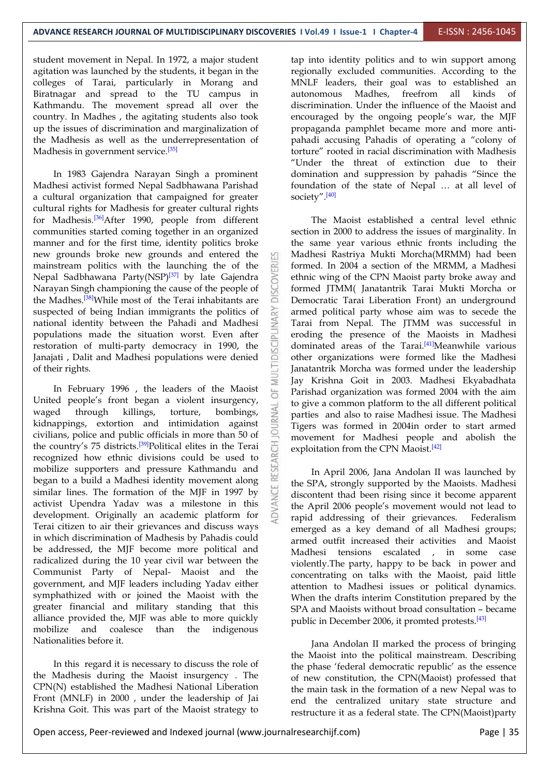student movement in Nepal. In 1972, a major student agitation was launched by the students, it began in the colleges of Tarai, particularly in Morang and Biratnagar and spread to the TU campus in autonomous Madhes, Kathmandu. The movement spread all over the country. In Madhes , the agitating students also took up the issues of discrimination and marginalization of the Madhesis as well as the underrepresentation of Madhesis in government service.<sup>[35]</sup>

In 1983 Gajendra Narayan Singh a prominent Madhesi activist formed Nepal Sadbhawana Parishad a cultural organization that campaigned for greater cultural rights for Madhesis for greater cultural rights for Madhesis.<sup>[36]</sup>After 1990, people from different The Maoist communities started coming together in an organized manner and for the first time, identity politics broke new grounds broke new grounds and entered the mainstream politics with the launching the of the Nepal Sadbhawana Party(NSP)<sup>[37]</sup> by late Gajendra  $\geq$  ethnic wing only Narayan Singh championing the cause of the people of the Madhes.<sup>[38]</sup>While most of the Terai inhabitants are  $\Box$  Democratic suspected of being Indian immigrants the politics of national identity between the Pahadi and Madhesi populations made the situation worst. Even after<br>restoration of multi-party democracy in 1990, the<br>Janajati , Dalit and Madhesi populations were denied restoration of multi-party democracy in 1990, the Janajati , Dalit and Madhesi populations were denied of their rights.

In February 1996, the leaders of the Maoist United people's front began a violent insurgency,<br>waged through killings, torture, bombings,<br>kidnappings, extortion and intimidation against<br>civilians police and public officials in more than 50 of waged through killings, torture, bombings, kidnappings, extortion and intimidation against civilians, police and public officials in more than 50 of the country's 75 districts.<sup>[39]</sup>Political elites in the Terai  $\overline{5}$  exploit recognized how ethnic divisions could be used to mobilize supporters and pressure Kathmandu and began to a build a Madhesi identity movement along similar lines. The formation of the MJF in 1997 by activist Upendra Yadav was a milestone in this development. Originally an academic platform for Terai citizen to air their grievances and discuss ways in which discrimination of Madhesis by Pahadis could be addressed, the MJF become more political and radicalized during the 10 year civil war between the Communist Party of Nepal- Maoist and the government, and MJF leaders including Yadav either symphathized with or joined the Maoist with the greater financial and military standing that this alliance provided the, MJF was able to more quickly mobilize and coalesce than the indigenous Nationalities before it.

In this regard it is necessary to discuss the role of the Madhesis during the Maoist insurgency . The CPN(N) established the Madhesi National Liberation Front (MNLF) in 2000 , under the leadership of Jai Krishna Goit. This was part of the Maoist strategy to tap into identity politics and to win support among regionally excluded communities. According to the MNLF leaders, their goal was to established an freefrom all kinds of discrimination. Under the influence of the Maoist and encouraged by the ongoing people's war, the MJF propaganda pamphlet became more and more anti pahadi accusing Pahadis of operating a "colony of torture" rooted in racial discrimination with Madhesis "Under the threat of extinction due to their domination and suppression by pahadis "Since the foundation of the state of Nepal … at all level of society". [40]

The Maoist established a central level ethnic section in 2000 to address the issues of marginality. In the same year various ethnic fronts including the Madhesi Rastriya Mukti Morcha(MRMM) had been formed. In 2004 a section of the MRMM, a Madhesi ethnic wing of the CPN Maoist party broke away and formed JTMM( Janatantrik Tarai Mukti Morcha or Democratic Tarai Liberation Front) an underground armed political party whose aim was to secede the Tarai from Nepal. The JTMM was successful in eroding the presence of the Maoists in Madhesi dominated areas of the Tarai.<sup>[41]</sup>Meanwhile various other organizations were formed like the Madhesi Janatantrik Morcha was formed under the leadership Jay Krishna Goit in 2003. Madhesi Ekyabadhata Parishad organization was formed 2004 with the aim to give a common platform to the all different political parties and also to raise Madhesi issue. The Madhesi Tigers was formed in 2004in order to start armed movement for Madhesi people and abolish the exploitation from the CPN Maoist.<sup>[42]</sup>

In April 2006, Jana Andolan II was launched by the SPA, strongly supported by the Maoists. Madhesi discontent thad been rising since it become apparent the April 2006 people's movement would not lead to rapid addressing of their grievances. Federalism emerged as a key demand of all Madhesi groups; armed outfit increased their activities and Maoist Madhesi tensions escalated , in some case violently.The party, happy to be back in power and concentrating on talks with the Maoist, paid little attention to Madhesi issues or political dynamics. When the drafts interim Constitution prepared by the SPA and Maoists without broad consultation – became public in December 2006, it promted protests.<sup>[43]</sup>

Jana Andolan II marked the process of bringing the Maoist into the political mainstream. Describing the phase 'federal democratic republic' as the essence of new constitution, the CPN(Maoist) professed that the main task in the formation of a new Nepal was to end the centralized unitary state structure and restructure it as a federal state. The CPN(Maoist)party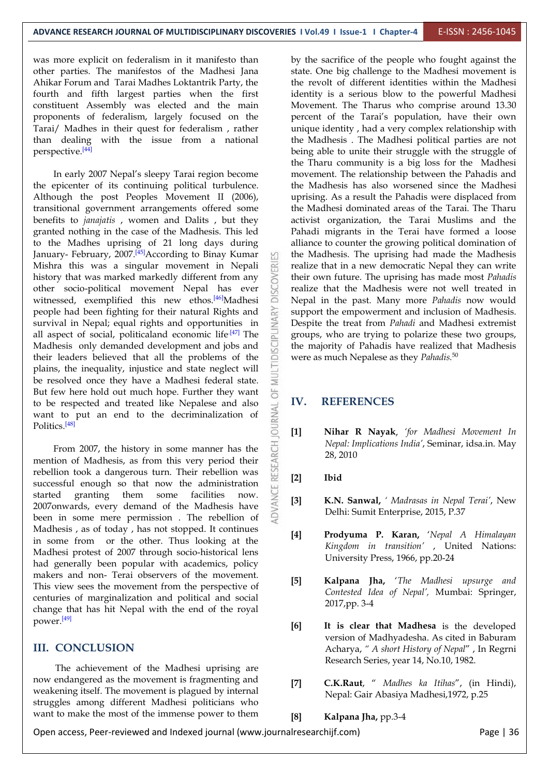was more explicit on federalism in it manifesto than other parties. The manifestos of the Madhesi Jana Ahikar Forum and Tarai Madhes Loktantrik Party, the fourth and fifth largest parties when the first constituent Assembly was elected and the main proponents of federalism, largely focused on the Tarai/ Madhes in their quest for federalism , rather than dealing with the issue from a national perspective. [44]

In early 2007 Nepal's sleepy Tarai region become the epicenter of its continuing political turbulence. Although the post Peoples Movement II (2006), transitional government arrangements offered some benefits to *janajatis* , women and Dalits , but they granted nothing in the case of the Madhesis. This led to the Madhes uprising of 21 long days during January-February, 2007.<sup>[45]</sup>According to Binay Kumar [11] the Mad Mishra this was a singular movement in Nepali<br>history that was marked markedly different from any<br>other socio-political movement Nepal has ever history that was marked markedly different from any other socio-political movement Nepal has ever witnessed, exemplified this new ethos.<sup>[46]</sup>Madhesi  $\Box$  Nepal in people had been fighting for their natural Rights and survival in Nepal; equal rights and opportunities in all aspect of social, politicaland economic life<sup>[47]</sup> The survival in Nepal; equal rights and opportunities in all aspect of social, politicaland economic life<sup>[47]</sup> The Madhesis only demanded development and jobs and Madhesis only demanded development and jobs and their leaders believed that all the problems of the plains, the inequality, injustice and state neglect will be resolved once they have a Madhesi federal state. But few here hold out much hope. Further they want  $\overline{\bullet}$  to be respected and treated like Nepalese and also  $\overline{\bullet}$  IV. to be respected and treated like Nepalese and also want to put an end to the decriminalization of Politics.<sup>[48]</sup> want to put an end to the decriminalization of Politics.<sup>[48]</sup>

From 2007, the history in some manner has the  $\frac{1}{\omega}$ <br>tion of Madhesis, as from this very period their<br>llion took a dangerous turn. Their rebellion was mention of Madhesis, as from this very period their rebellion took a dangerous turn. Their rebellion was successful enough so that now the administration started granting them some facilities now.  $\geq$  [3] 2007onwards, every demand of the Madhesis have been in some mere permission . The rebellion of Madhesis , as of today , hasnot stopped. It continues in some from or the other. Thus looking at the Madhesi protest of 2007 through socio-historical lens had generally been popular with academics, policy makers and non- Terai observers of the movement. This view sees the movement from the perspective of centuries of marginalization and political and social change that has hit Nepal with the end of the royal power. [49]

#### **III. CONCLUSION**

The achievement of the Madhesi uprising are now endangered as the movement is fragmenting and weakening itself. The movement is plagued by internal struggles among different Madhesi politicians who want to make the most of the immense power to them

 $\mathbb{R}^{47}$  The  $\overrightarrow{a}$  groups, who are trying to polarize these two groups, by the sacrifice of the people who fought against the state. One big challenge to the Madhesi movement is the revolt of different identities within the Madhesi identity is a serious blow to the powerful Madhesi Movement. The Tharus who comprise around 13.30 percent of the Tarai's population, have their own unique identity, had a very complex relationship with the Madhesis . The Madhesi political parties are not being able to unite their struggle with the struggle of the Tharu community is a big loss for the Madhesi movement. The relationship between the Pahadis and the Madhesis has also worsened since the Madhesi uprising. As a result the Pahadis were displaced from the Madhesi dominated areas of the Tarai. The Tharu activist organization, the Tarai Muslims and the Pahadi migrants in the Terai have formed a loose alliance to counter the growing political domination of the Madhesis. The uprising had made the Madhesis realize that in a new democratic Nepal they can write their own future. The uprising has made most *Pahadis* realize that the Madhesis were not well treated in Nepal in the past. Many more *Pahadis* now would support the empowerment and inclusion of Madhesis. Despite the treat from *Pahadi* and Madhesi extremist the majority of Pahadis have realized that Madhesis were as much Nepalese as they *Pahadis.*<sup>50</sup>

#### **IV. REFERENCES**

**[1] Nihar R Nayak**, *'for Madhesi Movement In Nepal: Implications India'*, Seminar, idsa.in. May 28, 2010

#### **[2] Ibid**

- **[3] K.N. Sanwal,** *' Madrasas in Nepal Terai'*, New Delhi: Sumit Enterprise, 2015, P.37
- **[4] Prodyuma P. Karan,** '*Nepal A Himalayan Kingdom in transition'*, United Nations: University Press, 1966, pp.20-24
- **[5] Kalpana Jha,** '*The Madhesi upsurge and Contested Idea of Nepal',* Mumbai: Springer, 2017,pp. 3-4
- **[6] It is clear that Madhesa** is the developed version of Madhyadesha. As cited in Baburam Acharya, *" A short History of Nepal*" , In Regrni Research Series, year 14, No.10, 1982.
- **[7] C.K.Raut**, " *Madhes ka Itihas*", (in Hindi), Nepal: Gair Abasiya Madhesi,1972, p.25

**[8] Kalpana Jha,** pp.3-4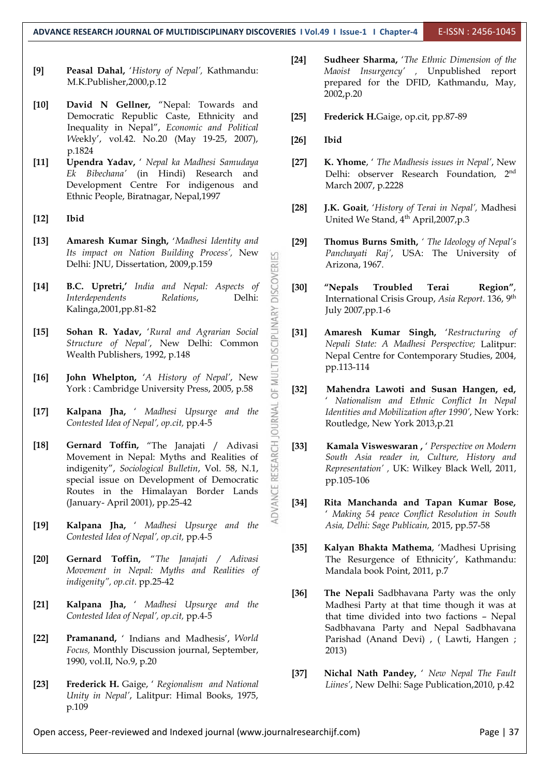- **[9] Peasal Dahal,** '*History of Nepal',* Kathmandu: M.K.Publisher,2000,p.12
- **[10] David N Gellner,** "Nepal: Towards and Democratic Republic Caste, Ethnicity and [25] Inequality in Nepal", *Economic and Political We*ekly', vol.42. No.20 (May 19-25, 2007), p.1824
- **[11] Upendra Yadav,** ' *Nepal ka Madhesi Samudaya Ek Bibechana'* (in Hindi) Research and Development Centre For indigenous and Ethnic People, Biratnagar, Nepal,1997
- **[12] Ibid**
- **[13] Amaresh Kumar Singh,** '*Madhesi Identity and Its impact on Nation Building Process',* New Delhi: JNU, Dissertation, 2009,p.159
- **[14] B.C. Upretri,'** *India and Nepal: Aspects of Interdependents Relations*, Delhi: Kalinga,2001,pp.81-82
- **[15] Sohan R. Yadav,** '*Rural and Agrarian Social*<br> *Structure of Nepal'*, New Delhi: Common Wealth Publishers, 1992, p.148 *Structure of Nepal'*, New Delhi: Common Wealth Publishers, 1992, p.148
- **[16] John Whelpton,** '*A History of Nepal'*, New York : Cambridge University Press, 2005, p.58 [32]
- **[17] Kalpana Jha,** ' *Madhesi Upsurge and the Contested Idea of Nepal', op.cit,* pp.4-5
- **[18] Gernard Toffin,** "The Janajati / Adivasi  $\frac{1}{C}$  **[33]** Movement in Nepal: Myths and Realities of indigenity", *Sociological Bulletin*, Vol. 58, N.1, special issue on Development of Democratic Movement in Nepal: Myths and Realities of indigenity", *Sociological Bulletin*, Vol. 58, N.1, special issue on Development of Democratic Routes in the Himalayan Border Lands (January- April 2001), pp.25-42
- **[19] Kalpana Jha,** ' *Madhesi Upsurge and the Contested Idea of Nepal', op.cit,* pp.4-5
- **[20] Gernard Toffin,** "*The Janajati / Adivasi Movement in Nepal: Myths and Realities of indigenity", op.cit*. pp.25-42
- **[21] Kalpana Jha,** ' *Madhesi Upsurge and the Contested Idea of Nepal', op.cit,* pp.4-5
- **[22] Pramanand,** ' Indians and Madhesis', *World Focus,* Monthly Discussion journal, September, 1990, vol.II, No.9, p.20
- **[23] Frederick H.** Gaige, ' *Regionalism and National Unity in Nepal'*, Lalitpur: Himal Books, 1975, p.109
- **[24] Sudheer Sharma,** '*The Ethnic Dimension of the Maoist Insurgency' ,* Unpublished report prepared for the DFID, Kathmandu, May, 2002,p.20
- **[25] Frederick H.**Gaige, op.cit, pp.87-89
- **[26] Ibid**
- **[27] K. Yhome**, ' *The Madhesis issues in Nepal'*, New Delhi: observer Research Foundation, 2<sup>nd</sup> March 2007, p.2228
- **[28] J.K. Goait**, '*History of Terai in Nepal',* Madhesi United We Stand, 4<sup>th</sup> April, 2007, p.3
- **[29] Thomus Burns Smith,** *' The Ideology of Nepal's Panchayati Raj'*, USA: The University of Arizona, 1967.
- **[30] "Nepals Troubled Terai Region"**, International Crisis Group, *Asia Report*. 136, 9 th July 2007,pp.1-6
- **Amaresh Kumar Singh,** 'Restructuring of *Nepali State: A Madhesi Perspective;* Lalitpur: Nepal Centre for Contemporary Studies, 2004, pp.113-114
- **[32] Mahendra Lawoti and Susan Hangen, ed,** ' *Nationalism and Ethnic Conflict In Nepal Identities and Mobilization after 1990'*, New York: Routledge, New York 2013,p.21
- **[33] Kamala Visweswaran ,** ' *Perspective on Modern South Asia reader in, Culture, History and Representation' ,* UK: Wilkey Black Well, 2011, pp.105-106
- **[34] Rita Manchanda and Tapan Kumar Bose,** ' *Making 54 peace Conflict Resolution in South Asia, Delhi: Sage Publicain,* 2015, pp.57-58
- **[35] Kalyan Bhakta Mathema**, 'Madhesi Uprising The Resurgence of Ethnicity', Kathmandu: Mandala book Point, 2011, p.7
- **[36] The Nepali** Sadbhavana Party was the only Madhesi Party at that time though it was at that time divided into two factions – Nepal Sadbhavana Party and Nepal Sadbhavana Parishad (Anand Devi) , ( Lawti, Hangen ; 2013)
- **[37] Nichal Nath Pandey,** ' *New Nepal The Fault Liines'*, New Delhi: Sage Publication,2010, p.42